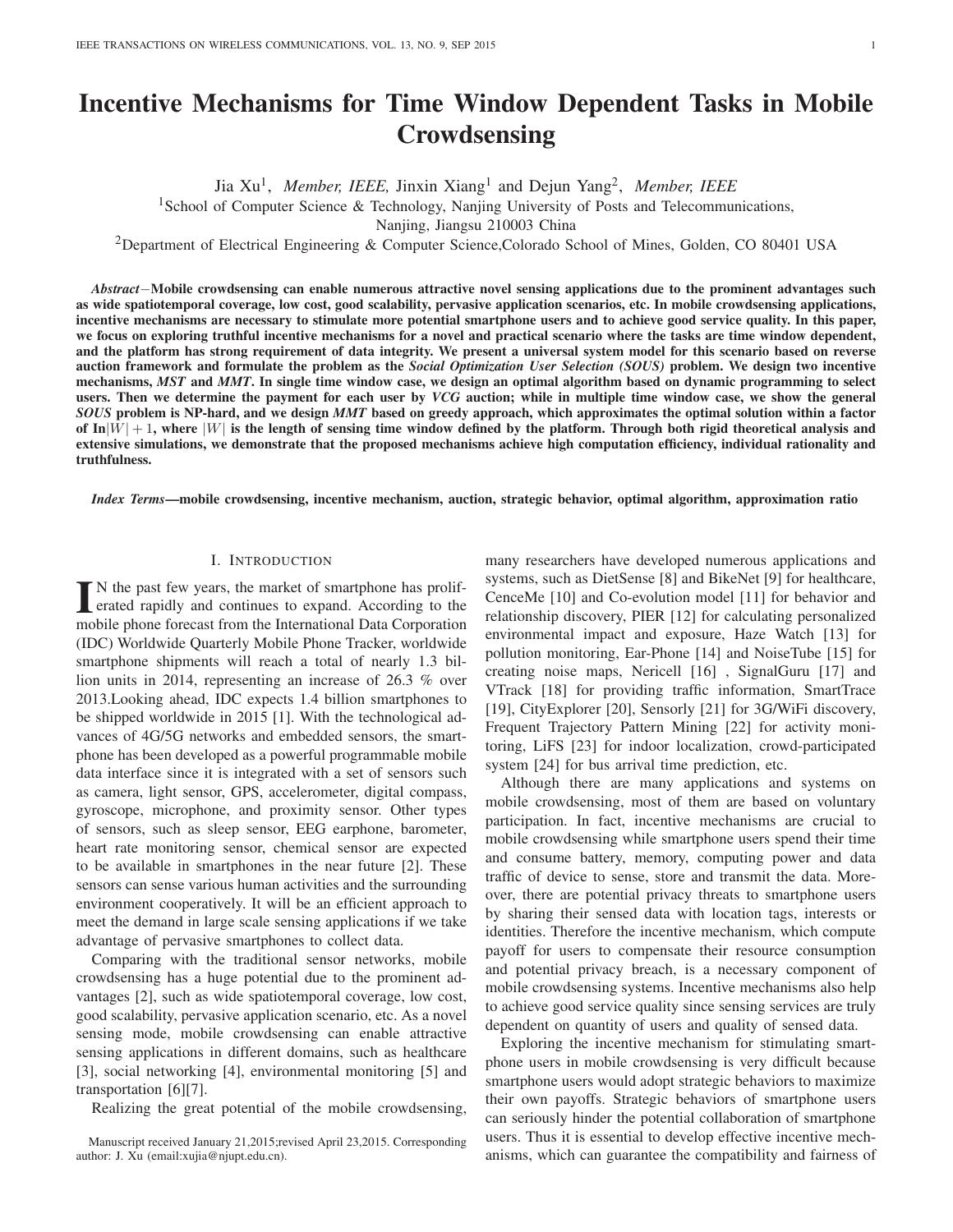# Incentive Mechanisms for Time Window Dependent Tasks in Mobile **Crowdsensing**

Jia Xu1, *Member, IEEE,* Jinxin Xiang1 and Dejun Yang2, *Member, IEEE*

<sup>1</sup>School of Computer Science & Technology, Nanjing University of Posts and Telecommunications,

Nanjing, Jiangsu 210003 China

<sup>2</sup>Department of Electrical Engineering & Computer Science,Colorado School of Mines, Golden, CO 80401 USA

*Abstract*−Mobile crowdsensing can enable numerous attractive novel sensing applications due to the prominent advantages such as wide spatiotemporal coverage, low cost, good scalability, pervasive application scenarios, etc. In mobile crowdsensing applications, incentive mechanisms are necessary to stimulate more potential smartphone users and to achieve good service quality. In this paper, we focus on exploring truthful incentive mechanisms for a novel and practical scenario where the tasks are time window dependent, and the platform has strong requirement of data integrity. We present a universal system model for this scenario based on reverse auction framework and formulate the problem as the *Social Optimization User Selection (SOUS)* problem. We design two incentive mechanisms, *MST* and *MMT*. In single time window case, we design an optimal algorithm based on dynamic programming to select users. Then we determine the payment for each user by *VCG* auction; while in multiple time window case, we show the general *SOUS* problem is NP-hard, and we design *MMT* based on greedy approach, which approximates the optimal solution within a factor of In $|W| + 1$ , where  $|W|$  is the length of sensing time window defined by the platform. Through both rigid theoretical analysis and extensive simulations, we demonstrate that the proposed mechanisms achieve high computation efficiency, individual rationality and truthfulness.

*Index Terms*—mobile crowdsensing, incentive mechanism, auction, strategic behavior, optimal algorithm, approximation ratio

#### I. INTRODUCTION

IN the past few years, the market of smartphone has proliferated rapidly and continues to expand. According to the mobile phone forecast from the International Dete Comparation erated rapidly and continues to expand. According to the mobile phone forecast from the International Data Corporation (IDC) Worldwide Quarterly Mobile Phone Tracker, worldwide smartphone shipments will reach a total of nearly 1.3 billion units in 2014, representing an increase of 26.3 % over 2013.Looking ahead, IDC expects 1.4 billion smartphones to be shipped worldwide in 2015 [1]. With the technological advances of 4G/5G networks and embedded sensors, the smartphone has been developed as a powerful programmable mobile data interface since it is integrated with a set of sensors such as camera, light sensor, GPS, accelerometer, digital compass, gyroscope, microphone, and proximity sensor. Other types of sensors, such as sleep sensor, EEG earphone, barometer, heart rate monitoring sensor, chemical sensor are expected to be available in smartphones in the near future [2]. These sensors can sense various human activities and the surrounding environment cooperatively. It will be an efficient approach to meet the demand in large scale sensing applications if we take advantage of pervasive smartphones to collect data.

Comparing with the traditional sensor networks, mobile crowdsensing has a huge potential due to the prominent advantages [2], such as wide spatiotemporal coverage, low cost, good scalability, pervasive application scenario, etc. As a novel sensing mode, mobile crowdsensing can enable attractive sensing applications in different domains, such as healthcare [3], social networking [4], environmental monitoring [5] and transportation [6][7].

Realizing the great potential of the mobile crowdsensing,

many researchers have developed numerous applications and systems, such as DietSense [8] and BikeNet [9] for healthcare, CenceMe [10] and Co-evolution model [11] for behavior and relationship discovery, PIER [12] for calculating personalized environmental impact and exposure, Haze Watch [13] for pollution monitoring, Ear-Phone [14] and NoiseTube [15] for creating noise maps, Nericell [16] , SignalGuru [17] and VTrack [18] for providing traffic information, SmartTrace [19], CityExplorer [20], Sensorly [21] for 3G/WiFi discovery, Frequent Trajectory Pattern Mining [22] for activity monitoring, LiFS [23] for indoor localization, crowd-participated system [24] for bus arrival time prediction, etc.

Although there are many applications and systems on mobile crowdsensing, most of them are based on voluntary participation. In fact, incentive mechanisms are crucial to mobile crowdsensing while smartphone users spend their time and consume battery, memory, computing power and data traffic of device to sense, store and transmit the data. Moreover, there are potential privacy threats to smartphone users by sharing their sensed data with location tags, interests or identities. Therefore the incentive mechanism, which compute payoff for users to compensate their resource consumption and potential privacy breach, is a necessary component of mobile crowdsensing systems. Incentive mechanisms also help to achieve good service quality since sensing services are truly dependent on quantity of users and quality of sensed data.

Exploring the incentive mechanism for stimulating smartphone users in mobile crowdsensing is very difficult because smartphone users would adopt strategic behaviors to maximize their own payoffs. Strategic behaviors of smartphone users can seriously hinder the potential collaboration of smartphone users. Thus it is essential to develop effective incentive mechanisms, which can guarantee the compatibility and fairness of

Manuscript received January 21,2015;revised April 23,2015. Corresponding author: J. Xu (email:xujia@njupt.edu.cn).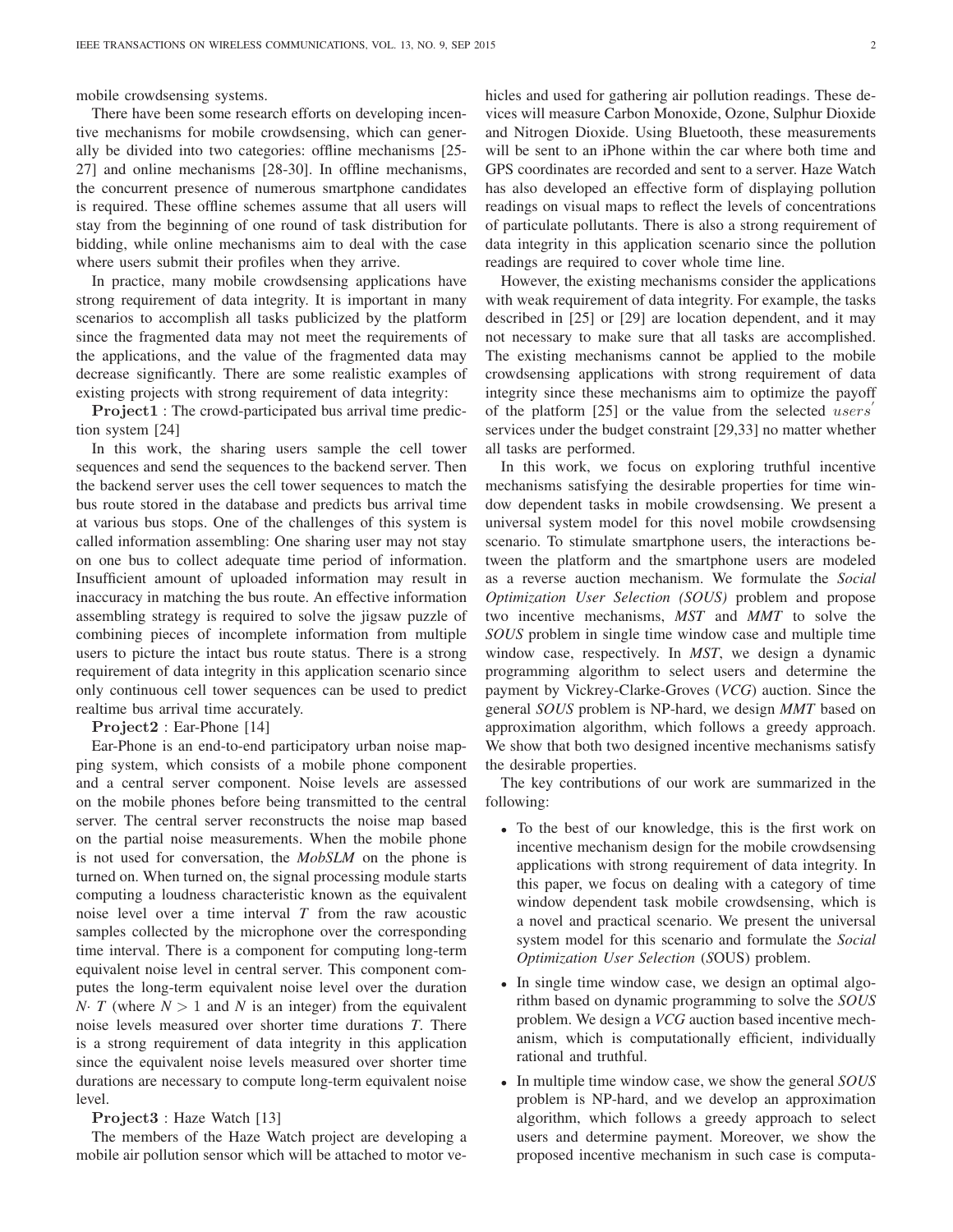mobile crowdsensing systems.

There have been some research efforts on developing incentive mechanisms for mobile crowdsensing, which can generally be divided into two categories: offline mechanisms [25- 27] and online mechanisms [28-30]. In offline mechanisms, the concurrent presence of numerous smartphone candidates is required. These offline schemes assume that all users will stay from the beginning of one round of task distribution for bidding, while online mechanisms aim to deal with the case where users submit their profiles when they arrive.

In practice, many mobile crowdsensing applications have strong requirement of data integrity. It is important in many scenarios to accomplish all tasks publicized by the platform since the fragmented data may not meet the requirements of the applications, and the value of the fragmented data may decrease significantly. There are some realistic examples of existing projects with strong requirement of data integrity:

**Project1** : The crowd-participated bus arrival time prediction system [24]

In this work, the sharing users sample the cell tower sequences and send the sequences to the backend server. Then the backend server uses the cell tower sequences to match the bus route stored in the database and predicts bus arrival time at various bus stops. One of the challenges of this system is called information assembling: One sharing user may not stay on one bus to collect adequate time period of information. Insufficient amount of uploaded information may result in inaccuracy in matching the bus route. An effective information assembling strategy is required to solve the jigsaw puzzle of combining pieces of incomplete information from multiple users to picture the intact bus route status. There is a strong requirement of data integrity in this application scenario since only continuous cell tower sequences can be used to predict realtime bus arrival time accurately.

**Project2** : Ear-Phone [14]

Ear-Phone is an end-to-end participatory urban noise mapping system, which consists of a mobile phone component and a central server component. Noise levels are assessed on the mobile phones before being transmitted to the central server. The central server reconstructs the noise map based on the partial noise measurements. When the mobile phone is not used for conversation, the *MobSLM* on the phone is turned on. When turned on, the signal processing module starts computing a loudness characteristic known as the equivalent noise level over a time interval *T* from the raw acoustic samples collected by the microphone over the corresponding time interval. There is a component for computing long-term equivalent noise level in central server. This component computes the long-term equivalent noise level over the duration *N*· *T* (where  $N > 1$  and *N* is an integer) from the equivalent noise levels measured over shorter time durations *T*. There is a strong requirement of data integrity in this application since the equivalent noise levels measured over shorter time durations are necessary to compute long-term equivalent noise level.

**Project3** : Haze Watch [13]

The members of the Haze Watch project are developing a mobile air pollution sensor which will be attached to motor vehicles and used for gathering air pollution readings. These devices will measure Carbon Monoxide, Ozone, Sulphur Dioxide and Nitrogen Dioxide. Using Bluetooth, these measurements will be sent to an iPhone within the car where both time and GPS coordinates are recorded and sent to a server. Haze Watch has also developed an effective form of displaying pollution readings on visual maps to reflect the levels of concentrations of particulate pollutants. There is also a strong requirement of data integrity in this application scenario since the pollution readings are required to cover whole time line.

However, the existing mechanisms consider the applications with weak requirement of data integrity. For example, the tasks described in [25] or [29] are location dependent, and it may not necessary to make sure that all tasks are accomplished. The existing mechanisms cannot be applied to the mobile crowdsensing applications with strong requirement of data integrity since these mechanisms aim to optimize the payoff of the platform [25] or the value from the selected users'<br>services under the budget constraint [29.33] no matter whether services under the budget constraint [29,33] no matter whether all tasks are performed.

In this work, we focus on exploring truthful incentive mechanisms satisfying the desirable properties for time window dependent tasks in mobile crowdsensing. We present a universal system model for this novel mobile crowdsensing scenario. To stimulate smartphone users, the interactions between the platform and the smartphone users are modeled as a reverse auction mechanism. We formulate the *Social Optimization User Selection (SOUS)* problem and propose two incentive mechanisms, *MST* and *MMT* to solve the *SOUS* problem in single time window case and multiple time window case, respectively. In *MST*, we design a dynamic programming algorithm to select users and determine the payment by Vickrey-Clarke-Groves (*VCG*) auction. Since the general *SOUS* problem is NP-hard, we design *MMT* based on approximation algorithm, which follows a greedy approach. We show that both two designed incentive mechanisms satisfy the desirable properties.

The key contributions of our work are summarized in the following:

- To the best of our knowledge, this is the first work on incentive mechanism design for the mobile crowdsensing applications with strong requirement of data integrity. In this paper, we focus on dealing with a category of time window dependent task mobile crowdsensing, which is a novel and practical scenario. We present the universal system model for this scenario and formulate the *Social Optimization User Selection* (*S*OUS) problem.
- In single time window case, we design an optimal algorithm based on dynamic programming to solve the *SOUS* problem. We design a *VCG* auction based incentive mechanism, which is computationally efficient, individually rational and truthful.
- In multiple time window case, we show the general *SOUS* problem is NP-hard, and we develop an approximation algorithm, which follows a greedy approach to select users and determine payment. Moreover, we show the proposed incentive mechanism in such case is computa-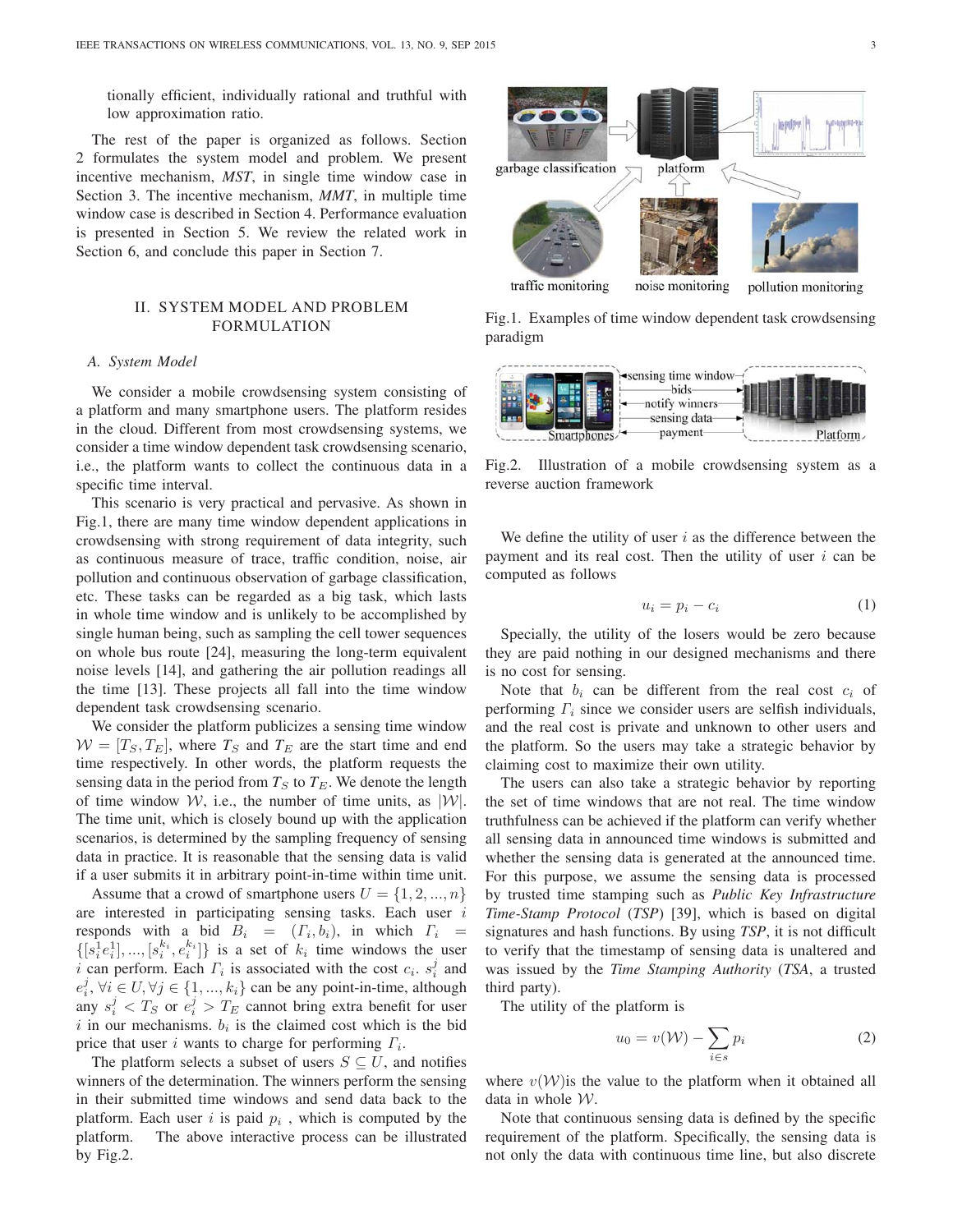tionally efficient, individually rational and truthful with low approximation ratio.

The rest of the paper is organized as follows. Section 2 formulates the system model and problem. We present incentive mechanism, *MST*, in single time window case in Section 3. The incentive mechanism, *MMT*, in multiple time window case is described in Section 4. Performance evaluation is presented in Section 5. We review the related work in Section 6, and conclude this paper in Section 7.

# II. SYSTEM MODEL AND PROBLEM FORMULATION

#### *A. System Model*

We consider a mobile crowdsensing system consisting of a platform and many smartphone users. The platform resides in the cloud. Different from most crowdsensing systems, we consider a time window dependent task crowdsensing scenario, i.e., the platform wants to collect the continuous data in a specific time interval.

This scenario is very practical and pervasive. As shown in Fig.1, there are many time window dependent applications in crowdsensing with strong requirement of data integrity, such as continuous measure of trace, traffic condition, noise, air pollution and continuous observation of garbage classification, etc. These tasks can be regarded as a big task, which lasts in whole time window and is unlikely to be accomplished by single human being, such as sampling the cell tower sequences on whole bus route [24], measuring the long-term equivalent noise levels [14], and gathering the air pollution readings all the time [13]. These projects all fall into the time window dependent task crowdsensing scenario.

We consider the platform publicizes a sensing time window  $W = [T<sub>S</sub>, T<sub>E</sub>]$ , where  $T<sub>S</sub>$  and  $T<sub>E</sub>$  are the start time and end time respectively. In other words, the platform requests the sensing data in the period from  $T<sub>S</sub>$  to  $T<sub>E</sub>$ . We denote the length of time window  $W$ , i.e., the number of time units, as  $|W|$ . The time unit, which is closely bound up with the application scenarios, is determined by the sampling frequency of sensing data in practice. It is reasonable that the sensing data is valid if a user submits it in arbitrary point-in-time within time unit.

Assume that a crowd of smartphone users  $U = \{1, 2, ..., n\}$ are interested in participating sensing tasks. Each user  $i$ responds with a bid  $B_i = (\Gamma_i, b_i)$ , in which  $\Gamma_i$  =  $\{[s_i^1e_i^1], ..., [s_i^{k_i}, e_i^{k_i}]\}$  is a set of  $k_i$  time windows the user<br>i can perform. Each  $\Gamma_i$  is associated with the cost  $e_i$ ,  $e_j^j$  and i can perform. Each  $\Gamma_i$  is associated with the cost  $c_i$ ,  $s_i^j$  and  $c_j^j \forall i \in \mathbb{N}$   $\forall i \in \mathbb{N}$  can be any point in time, although  $\sum_{i=1}^{n} s_i^2$   $\leq T_S$  or  $e_i^j > T_E$  cannot bring extra benefit for user  $j_i, \forall i \in U, \forall j \in \{1, ..., k_i\}$  can be any point-in-time, although  $j \leq T_{\text{c}}$  or  $e^j > T_{\text{c}}$  cannot bring extra benefit for user i in our mechanisms.  $b_i$  is the claimed cost which is the bid price that user i wants to charge for performing  $\Gamma_i$ .

The platform selects a subset of users  $S \subseteq U$ , and notifies winners of the determination. The winners perform the sensing in their submitted time windows and send data back to the platform. Each user i is paid  $p_i$ , which is computed by the platform. The above interactive process can be illustrated The above interactive process can be illustrated by Fig.2.



Fig.1. Examples of time window dependent task crowdsensing paradigm



Fig.2. Illustration of a mobile crowdsensing system as a reverse auction framework

We define the utility of user  $i$  as the difference between the payment and its real cost. Then the utility of user  $i$  can be computed as follows

$$
u_i = p_i - c_i \tag{1}
$$

Specially, the utility of the losers would be zero because they are paid nothing in our designed mechanisms and there is no cost for sensing.

Note that  $b_i$  can be different from the real cost  $c_i$  of performing  $\Gamma_i$  since we consider users are selfish individuals, and the real cost is private and unknown to other users and the platform. So the users may take a strategic behavior by claiming cost to maximize their own utility.

The users can also take a strategic behavior by reporting the set of time windows that are not real. The time window truthfulness can be achieved if the platform can verify whether all sensing data in announced time windows is submitted and whether the sensing data is generated at the announced time. For this purpose, we assume the sensing data is processed by trusted time stamping such as *Public Key Infrastructure Time-Stamp Protocol* (*TSP*) [39], which is based on digital signatures and hash functions. By using *TSP*, it is not difficult to verify that the timestamp of sensing data is unaltered and was issued by the *Time Stamping Authority* (*TSA*, a trusted third party).

The utility of the platform is

$$
u_0 = v(\mathcal{W}) - \sum_{i \in s} p_i \tag{2}
$$

where  $v(W)$  is the value to the platform when it obtained all data in whole  $W$ .

Note that continuous sensing data is defined by the specific requirement of the platform. Specifically, the sensing data is not only the data with continuous time line, but also discrete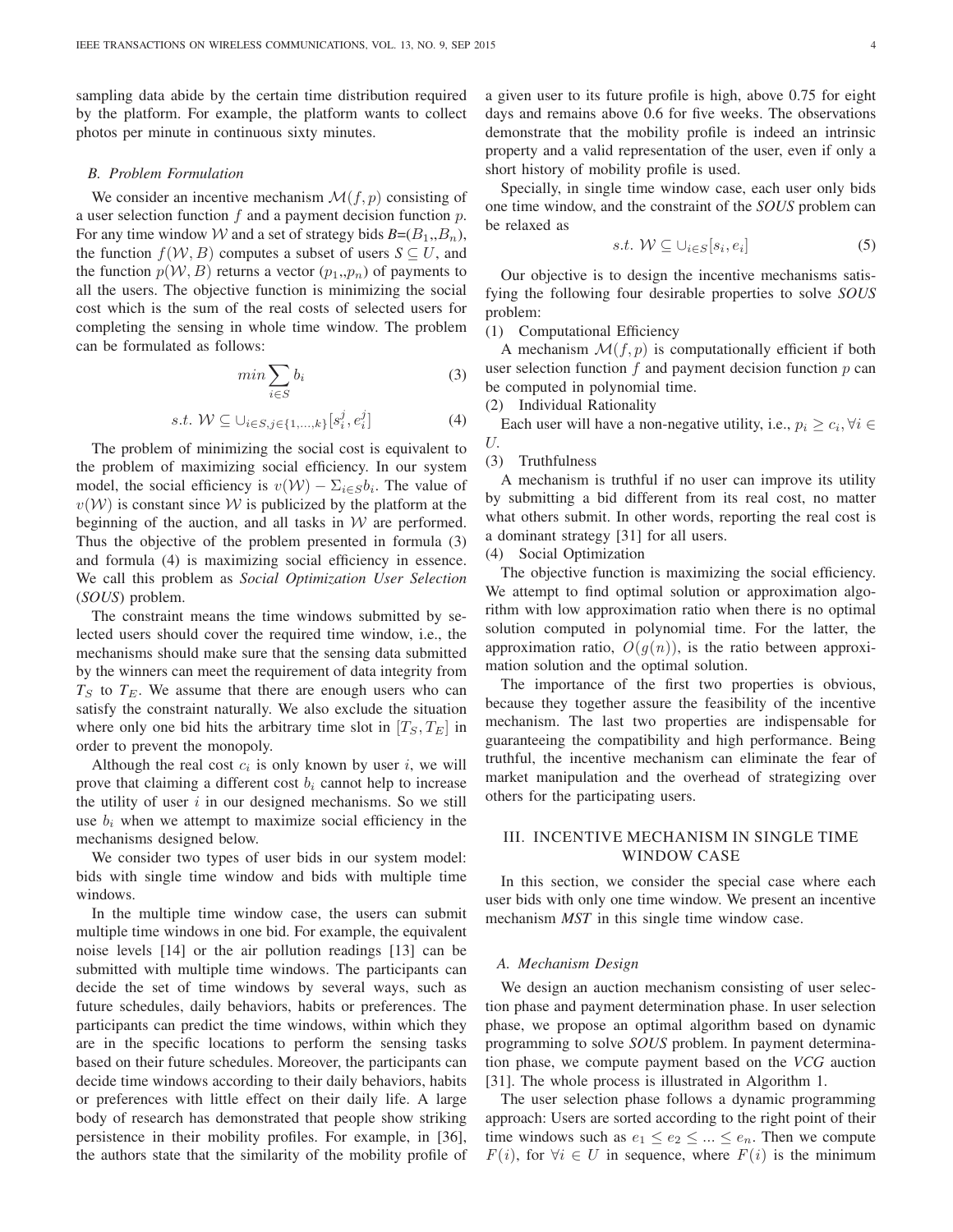sampling data abide by the certain time distribution required by the platform. For example, the platform wants to collect photos per minute in continuous sixty minutes.

### *B. Problem Formulation*

We consider an incentive mechanism  $\mathcal{M}(f, p)$  consisting of a user selection function  $f$  and a payment decision function  $p$ . For any time window W and a set of strategy bids  $B=(B_1,B_n)$ , the function  $f(W, B)$  computes a subset of users  $S \subseteq U$ , and the function  $p(W, B)$  returns a vector  $(p_1, p_n)$  of payments to all the users. The objective function is minimizing the social cost which is the sum of the real costs of selected users for completing the sensing in whole time window. The problem can be formulated as follows:

$$
min \sum_{i \in S} b_i
$$
\n(3)

$$
s.t. \mathcal{W} \subseteq \bigcup_{i \in S, j \in \{1, \dots, k\}} [s_i^j, e_i^j] \tag{4}
$$

The problem of minimizing the social cost is equivalent to the problem of maximizing social efficiency. In our system model, the social efficiency is  $v(\mathcal{W}) - \sum_{i \in S} b_i$ . The value of  $v(\mathcal{W})$  is constant since W is publicized by the platform at the beginning of the auction, and all tasks in  $W$  are performed. Thus the objective of the problem presented in formula (3) and formula (4) is maximizing social efficiency in essence. We call this problem as *Social Optimization User Selection* (*SOUS*) problem.

The constraint means the time windows submitted by selected users should cover the required time window, i.e., the mechanisms should make sure that the sensing data submitted by the winners can meet the requirement of data integrity from  $T<sub>S</sub>$  to  $T<sub>E</sub>$ . We assume that there are enough users who can satisfy the constraint naturally. We also exclude the situation where only one bid hits the arbitrary time slot in  $[T_S, T_E]$  in order to prevent the monopoly.

Although the real cost  $c_i$  is only known by user i, we will prove that claiming a different cost  $b_i$  cannot help to increase the utility of user  $i$  in our designed mechanisms. So we still use  $b_i$  when we attempt to maximize social efficiency in the mechanisms designed below.

We consider two types of user bids in our system model: bids with single time window and bids with multiple time windows.

In the multiple time window case, the users can submit multiple time windows in one bid. For example, the equivalent noise levels [14] or the air pollution readings [13] can be submitted with multiple time windows. The participants can decide the set of time windows by several ways, such as future schedules, daily behaviors, habits or preferences. The participants can predict the time windows, within which they are in the specific locations to perform the sensing tasks based on their future schedules. Moreover, the participants can decide time windows according to their daily behaviors, habits or preferences with little effect on their daily life. A large body of research has demonstrated that people show striking persistence in their mobility profiles. For example, in [36], the authors state that the similarity of the mobility profile of a given user to its future profile is high, above 0.75 for eight days and remains above 0.6 for five weeks. The observations demonstrate that the mobility profile is indeed an intrinsic property and a valid representation of the user, even if only a short history of mobility profile is used.

Specially, in single time window case, each user only bids one time window, and the constraint of the *SOUS* problem can be relaxed as

$$
s.t. \ W \subseteq \cup_{i \in S} [s_i, e_i] \tag{5}
$$

Our objective is to design the incentive mechanisms satisfying the following four desirable properties to solve *SOUS* problem:

(1) Computational Efficiency

A mechanism  $\mathcal{M}(f, p)$  is computationally efficient if both user selection function  $f$  and payment decision function  $p$  can be computed in polynomial time.

(2) Individual Rationality

Each user will have a non-negative utility, i.e.,  $p_i \ge c_i$ ,  $\forall i \in U$ .

#### $(3)$ **Truthfulness**

A mechanism is truthful if no user can improve its utility by submitting a bid different from its real cost, no matter what others submit. In other words, reporting the real cost is a dominant strategy [31] for all users.

(4) Social Optimization

The objective function is maximizing the social efficiency. We attempt to find optimal solution or approximation algorithm with low approximation ratio when there is no optimal solution computed in polynomial time. For the latter, the approximation ratio,  $O(g(n))$ , is the ratio between approximation solution and the optimal solution.

The importance of the first two properties is obvious, because they together assure the feasibility of the incentive mechanism. The last two properties are indispensable for guaranteeing the compatibility and high performance. Being truthful, the incentive mechanism can eliminate the fear of market manipulation and the overhead of strategizing over others for the participating users.

# III. INCENTIVE MECHANISM IN SINGLE TIME WINDOW CASE

In this section, we consider the special case where each user bids with only one time window. We present an incentive mechanism *MST* in this single time window case.

#### *A. Mechanism Design*

We design an auction mechanism consisting of user selection phase and payment determination phase. In user selection phase, we propose an optimal algorithm based on dynamic programming to solve *SOUS* problem. In payment determination phase, we compute payment based on the *VCG* auction [31]. The whole process is illustrated in Algorithm 1.

The user selection phase follows a dynamic programming approach: Users are sorted according to the right point of their time windows such as  $e_1 \leq e_2 \leq ... \leq e_n$ . Then we compute  $F(i)$ , for  $\forall i \in U$  in sequence, where  $F(i)$  is the minimum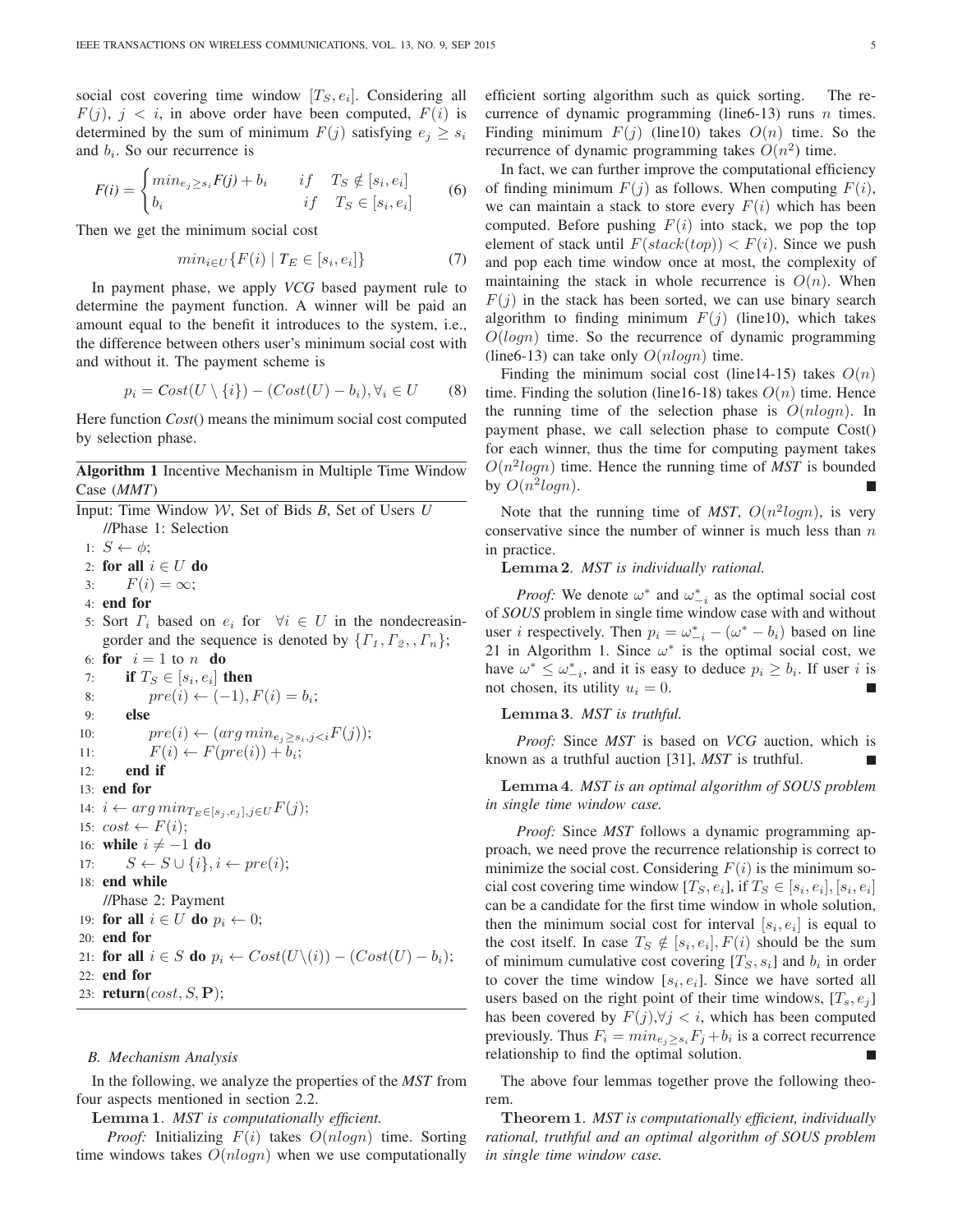social cost covering time window  $[T<sub>S</sub>, e<sub>i</sub>]$ . Considering all  $F(i)$ ,  $i < i$ , in above order have been computed,  $F(i)$  is determined by the sum of minimum  $F(j)$  satisfying  $e_i \geq s_i$ and  $b_i$ . So our recurrence is

$$
F(i) = \begin{cases} min_{e_j \ge s_i} F(j) + b_i & \text{if} \quad T_S \notin [s_i, e_i] \\ b_i & \text{if} \quad T_S \in [s_i, e_i] \end{cases} \tag{6}
$$

Then we get the minimum social cost

$$
min_{i \in U} \{ F(i) \mid T_E \in [s_i, e_i] \}
$$
\n<sup>(7)</sup>

In payment phase, we apply *VCG* based payment rule to determine the payment function. A winner will be paid an amount equal to the benefit it introduces to the system, i.e., the difference between others user's minimum social cost with and without it. The payment scheme is

$$
p_i = Cost(U \setminus \{i\}) - (Cost(U) - b_i), \forall i \in U \qquad (8)
$$

Here function *Cost*() means the minimum social cost computed by selection phase.

Algorithm 1 Incentive Mechanism in Multiple Time Window Case (*MMT*)

Input: Time Window W, Set of Bids *B*, Set of Users *U* //Phase 1: Selection 1:  $S \leftarrow \phi$ ; 2: for all  $i \in U$  do<br>3:  $F(i) = \infty$ :  $F(i) = \infty;$ 4: end for 5: Sort  $\Gamma_i$  based on  $e_i$  for  $\forall i \in U$  in the nondecreasingorder and the sequence is denoted by  $\{ \Gamma_1, \Gamma_2, , \Gamma_n \};$ 6: for  $i = 1$  to n **do**<br>7: **if**  $T_S \in [s_i, e_i]$  **t** 7: **if**  $T_S \in [s_i, e_i]$  then<br>8:  $pre(i) \leftarrow (-1)$ , 8:  $\text{pre}(i) \leftarrow (-1), F(i) = b_i;$ <br>9. **else** else 10:  $pre(i) \leftarrow (arg\ min_{e_j \geq s_i, j \leq i} F(j));$ <br>11:  $F(i) \leftarrow F(pre(i)) + b$ : 11:  $F(i) \leftarrow F(pre(i)) + b_i;$ <br>12: **end if** end if 13: end for 14:  $i \leftarrow arg\ min_{T_E \in [s_j, e_j], j \in U} F(j);$ 15:  $cost \leftarrow F(i);$ 16: while  $i \neq -1$  do <br>17:  $S \leftarrow S + I \in \{i\}$ 17:  $S \leftarrow S \cup \{i\}, i \leftarrow pre(i);$ 18: end while //Phase 2: Payment 19: for all  $i \in U$  do  $p_i \leftarrow 0$ ; 20: end for 21: for all  $i \in S$  do  $p_i \leftarrow Cost(U\setminus(i)) - (Cost(U) - b_i);$ 22: end for 23: return(cost, S, **<sup>P</sup>**);

#### *B. Mechanism Analysis*

In the following, we analyze the properties of the *MST* from four aspects mentioned in section 2.2.

**Lemma 1**. *MST is computationally efficient.*

*Proof:* Initializing  $F(i)$  takes  $O(n \log n)$  time. Sorting time windows takes  $O(nlogn)$  when we use computationally efficient sorting algorithm such as quick sorting. The recurrence of dynamic programming (line 6-13) runs  $n$  times. Finding minimum  $F(j)$  (line10) takes  $O(n)$  time. So the recurrence of dynamic programming takes  $O(n^2)$  time.

In fact, we can further improve the computational efficiency of finding minimum  $F(j)$  as follows. When computing  $F(i)$ , we can maintain a stack to store every  $F(i)$  which has been computed. Before pushing  $F(i)$  into stack, we pop the top element of stack until  $F(state(top)) < F(i)$ . Since we push and pop each time window once at most, the complexity of maintaining the stack in whole recurrence is  $O(n)$ . When  $F(j)$  in the stack has been sorted, we can use binary search algorithm to finding minimum  $F(j)$  (line10), which takes  $O(logn)$  time. So the recurrence of dynamic programming (line6-13) can take only  $O(n \log n)$  time.

Finding the minimum social cost (line14-15) takes  $O(n)$ time. Finding the solution (line16-18) takes  $O(n)$  time. Hence the running time of the selection phase is  $O(n \log n)$ . In payment phase, we call selection phase to compute Cost() for each winner, thus the time for computing payment takes  $O(n^2 \log n)$  time. Hence the running time of *MST* is bounded by  $O(n^2 \log n)$ .

Note that the running time of *MST*,  $O(n^2 \log n)$ , is very conservative since the number of winner is much less than  $n$ in practice.

**Lemma 2**. *MST is individually rational.*

*Proof:* We denote  $\omega^*$  and  $\omega_{-i}^*$  as the optimal social cost  $\frac{\partial U}{\partial \omega}$  roblem in single time window case with and without of *SOUS* problem in single time window case with and without user *i* respectively. Then  $p_i = \omega_{-i}^* - (\omega^* - b_i)$  based on line<br>21 in Algorithm 1. Since  $\omega^*$  is the optimal social cost, we 21 in Algorithm 1. Since  $\omega^*$  is the optimal social cost, we have  $\omega^* \leq \omega^*_{-i}$ , and it is easy to deduce  $p_i \geq b_i$ . If user i is not chosen its utility  $u_i = 0$ not chosen, its utility  $u_i = 0$ .

**Lemma 3**. *MST is truthful.*

*Proof:* Since *MST* is based on *VCG* auction, which is known as a truthful auction [31], *MST* is truthful.

**Lemma 4**. *MST is an optimal algorithm of SOUS problem in single time window case.*

*Proof:* Since *MST* follows a dynamic programming approach, we need prove the recurrence relationship is correct to minimize the social cost. Considering  $F(i)$  is the minimum social cost covering time window  $[T_S, e_i]$ , if  $T_S \in [s_i, e_i]$ ,  $[s_i, e_i]$ can be a candidate for the first time window in whole solution, then the minimum social cost for interval  $[s_i, e_i]$  is equal to the cost itself. In case  $T_s \notin [s_i, e_i], F(i)$  should be the sum of minimum cumulative cost covering  $[T<sub>S</sub>, s<sub>i</sub>]$  and  $b<sub>i</sub>$  in order to cover the time window  $[s_i, e_i]$ . Since we have sorted all users based on the right point of their time windows,  $[T_s, e_j]$ has been covered by  $F(j)$ , $\forall j < i$ , which has been computed previously. Thus  $F_i = min_{e_i > s_i} F_j + b_i$  is a correct recurrence relationship to find the optimal solution.

The above four lemmas together prove the following theorem.

**Theorem 1**. *MST is computationally efficient, individually rational, truthful and an optimal algorithm of SOUS problem in single time window case.*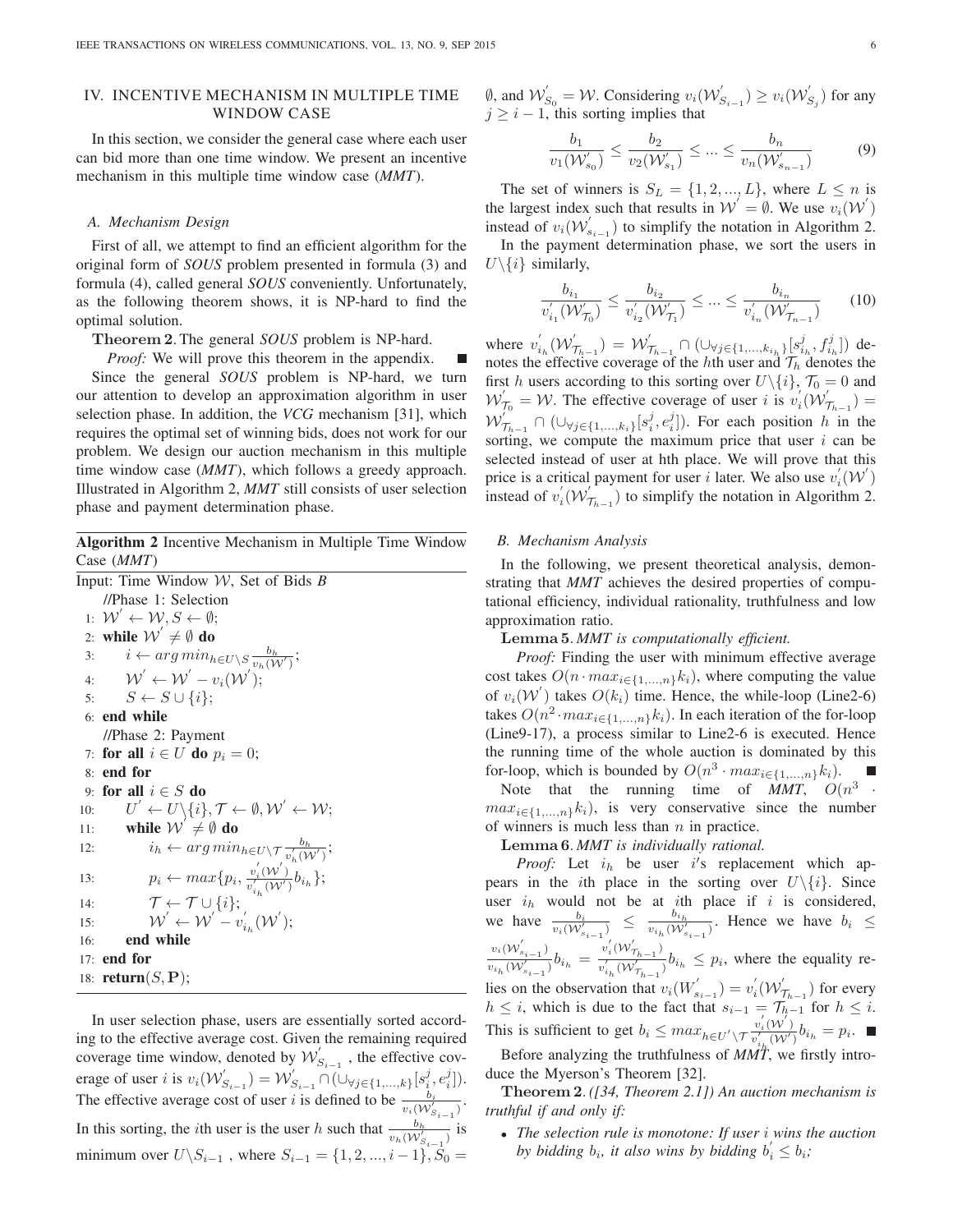# IV. INCENTIVE MECHANISM IN MULTIPLE TIME WINDOW CASE

In this section, we consider the general case where each user can bid more than one time window. We present an incentive mechanism in this multiple time window case (*MMT*).

#### *A. Mechanism Design*

First of all, we attempt to find an efficient algorithm for the original form of *SOUS* problem presented in formula (3) and formula (4), called general *SOUS* conveniently. Unfortunately, as the following theorem shows, it is NP-hard to find the optimal solution.

**Theorem 2**. The general *SOUS* problem is NP-hard.

*Proof:* We will prove this theorem in the appendix. Г Since the general *SOUS* problem is NP-hard, we turn our attention to develop an approximation algorithm in user selection phase. In addition, the *VCG* mechanism [31], which requires the optimal set of winning bids, does not work for our problem. We design our auction mechanism in this multiple time window case (*MMT*), which follows a greedy approach. Illustrated in Algorithm 2, *MMT* still consists of user selection phase and payment determination phase.

Algorithm 2 Incentive Mechanism in Multiple Time Window Case (*MMT*)

Input: Time Window W, Set of Bids *B* //Phase 1: Selection 1:  $\mathcal{W}'$ 1:  $W' \leftarrow W, S \leftarrow \emptyset;$ <br>2: while  $W' \neq \emptyset$  do 3:  $i \leftarrow arg min_{h \in U \setminus S} \frac{b_h}{v_h(\mathcal{W}')}$ ; 4:  $W^{'} \leftarrow W^{'} - v_i(W^{'})$ ;<br>
5.  $S \leftarrow S + J_i V_i$ 5:  $S \leftarrow S \cup \{i\};$ 6: end while //Phase 2: Payment 7: for all  $i \in U$  do  $p_i = 0$ ; 8: end for 9: for all  $i \in S$  do <br>10:  $U' \leftarrow U \setminus \{i\}$ 10:  $U' \leftarrow U \setminus \{i\}, \mathcal{T} \leftarrow \emptyset, \mathcal{W}' \leftarrow \mathcal{W};$ <br>
11: while  $\mathcal{W}' \neq \emptyset$  do 11: while  $\mathcal{W}' \neq \emptyset$  do 12:  $i_h \leftarrow \arg min_{h \in U \setminus \mathcal{T}} \frac{b_h}{v'_h(\mathcal{W}')};$ 13:  $p_i \leftarrow max\{p_i, \frac{v_i'(W')}{v_{i_h}'(W')}$  $\frac{v_i(VV)}{v'_{i_h}(W')}b_{i_h};$ 14:  $\mathcal{T} \leftarrow \mathcal{T} \cup \{i\};$ <br>
15:  $\mathcal{W}' \leftarrow \mathcal{W}' - v_{i_h}(\mathcal{W}');$ <br>
16: **end while** 16: end while 17: end for 18:  $return(S, P)$ ;

In user selection phase, users are essentially sorted according to the effective average cost. Given the remaining required coverage time window, denoted by  $W'_{S_{i-1}}$ , the effective coverage of user i is  $v_i(\mathcal{W}'_{S_{i-1}}) = \mathcal{W}'_{S_{i-1}} \cap (\cup_{\forall j \in \{1, ..., k\}} [s_i^j, e_i^j]).$ <br>The effective evence eset of veen i is defined to be The effective average cost of user *i* is defined to be  $\frac{b_i}{v_i(Ws_{i-1})}$ . In this sorting, the *i*th user is the user h such that  $\frac{b_h}{v_h(W_S)}$  $\frac{h}{s_{i-1}}$  is minimum over  $U\backslash S_{i-1}$ , where  $S_{i-1} = \{1, 2, ..., i-1\}, S_0 =$ 

 $\emptyset$ , and  $\mathcal{W}_{S_0}' = \mathcal{W}$ . Considering  $v_i(\mathcal{W}_{S_{i-1}}') \geq v_i(\mathcal{W}_{S_j}')$  for any  $i > i-1$  this sorting implies that  $j \geq i - 1$ , this sorting implies that

$$
\frac{b_1}{v_1(\mathcal{W}'_{s_0})} \le \frac{b_2}{v_2(\mathcal{W}'_{s_1})} \le \dots \le \frac{b_n}{v_n(\mathcal{W}'_{s_{n-1}})}
$$
(9)

The set of winners is  $S_L = \{1, 2, ..., L\}$ , where  $L \leq n$  is the largest index such that results in  $W' = \emptyset$ . We use  $v_i(W')$ <br>instead of  $v_i(W')$  to simplify the notation in Algorithm 2. instead of  $v_i(\mathcal{W}^{'}_{s_{i-1}})$  to simplify the notation in Algorithm 2.<br>In the naviment determination phase, we sort the users in

In the payment determination phase, we sort the users in  $U\backslash\{i\}$  similarly,

$$
\frac{b_{i_1}}{v'_{i_1}(\mathcal{W}'_{\mathcal{T}_0})} \le \frac{b_{i_2}}{v'_{i_2}(\mathcal{W}'_{\mathcal{T}_1})} \le \dots \le \frac{b_{i_n}}{v'_{i_n}(\mathcal{W}'_{\mathcal{T}_{n-1}})}
$$
(10)

where  $v'_{i_h}(\mathcal{W}'_{\mathcal{T}_{h-1}}) = \mathcal{W}'_{\mathcal{T}_{h-1}} \cap (\cup_{\forall j \in \{1, ..., k_{i_h}\}} [s^j_{i_h}, f^j_{i_h}])$  denotes the effective coverage of the hth user and  $\mathcal{T}_h$  denotes the first h users according to this sorting over  $U\setminus\{i\}$ ,  $\mathcal{T}_h = 0$  and first h users according to this sorting over  $U\backslash\{i\}$ ,  $\mathcal{T}_0 = 0$  and  $W'_{\mathcal{T}_0} = \mathcal{W}$ . The effective coverage of user *i* is  $v_i'(\mathcal{W}'_{\mathcal{T}_{h-1}}) =$  $W'_{\mathcal{T}_{h-1}} \cap (\cup_{\forall j \in \{1,\dots,k_i\}} [s_i^j, e_i^j])$ . For each position h in the sorting we compute the maximum price that user i can be sorting, we compute the maximum price that user  $i$  can be selected instead of user at hth place. We will prove that this price is a critical payment for user *i* later. We also use  $v'_i(\mathcal{W}')$ <br>instead of  $v'(\mathcal{W}')$  to simplify the notation in Algorithm 2 instead of  $v_i'(\mathcal{W}_{\mathcal{T}_{h-1}}')$  to simplify the notation in Algorithm 2.

#### *B. Mechanism Analysis*

In the following, we present theoretical analysis, demonstrating that *MMT* achieves the desired properties of computational efficiency, individual rationality, truthfulness and low approximation ratio.

# **Lemma 5**. *MMT is computationally efficient.*

*Proof:* Finding the user with minimum effective average cost takes  $O(n \cdot max_{i \in \{1,...,n\}} k_i)$ , where computing the value of  $v_i(\mathcal{W}')$  takes  $O(k_i)$  time. Hence, the while-loop (Line2-6)<br>takes  $O(n^2 \cdot max, k_i)$ . In each iteration of the for-loop takes  $O(n^2 \cdot max_{i \in \{1,...,n\}} k_i)$ . In each iteration of the for-loop (Line9-17), a process similar to Line2-6 is executed. Hence the running time of the whole auction is dominated by this for-loop, which is bounded by  $O(n^3 \cdot max_{i \in \{1,...,n\}} k_i)$ .

Note that the running time of  $MMT$ ,  $O(n^3$  $max_{i \in \{1,...,n\}} k_i$ , is very conservative since the number of winners is much less than  $n$  in practice.

**Lemma 6**. *MMT is individually rational.*

*Proof:* Let  $i_h$  be user i's replacement which appears in the *i*th place in the sorting over  $U\setminus\{i\}$ . Since user  $i_h$  would not be at *i*th place if *i* is considered,<br>we have  $\frac{b_i}{v_i(W'_{s_{i-1}})} \leq \frac{b_{i_h}}{v_{i_h}(W'_{s_{i-1}})}$ . Hence we have  $b_i \leq$  $\frac{b_{i}^{i}}{b_{i}^{j}} \leq \frac{b_{i}^{j}}{v_{i}^{j}(W'_{s_{i-1}})}$ . Hence we have  $b_{i} \leq$  $v_i({\mathcal W}^{'}_{s_{i-1}})$  $\frac{v_i(W_{s_{i-1}}')}{v_{i_h}(W_{s_{i-1}}')}b_{i_h} = \frac{v_i'(W_{\tau_{h-1}}')}{v_{i_h}'(W_{\tau_{h-1}}')}b_{i_h} \leq p_i$ , where the equality relies on the observation that  $v_i(W'_{s_{i-1}}) = v'_i(W'_{\mathcal{T}_{h-1}})$  for every  $h \leq i$  which is due to the fact that  $s_{i-1} = \mathcal{T}_{h-1}$  for  $h \leq i$  $\binom{s_{i-1}}{s_{i-1}} = v$  $h \leq i$ , which is due to the fact that  $s_{i-1} = \mathcal{T}_{h-1}$  for  $h \leq i$ . This is sufficient to get  $b_i \leq max_{h \in U' \setminus T}$  $v_i^{'}(\boldsymbol{\mathcal{W}}^{'})$  $\frac{v_i(VV)}{v'_{i_h}(W')}b_{i_h}=p_i.$ Before analyzing the truthfulness of  $MMT$ , we firstly introduce the Myerson's Theorem [32].

**Theorem 2**. *([34, Theorem 2.1]) An auction mechanism is truthful if and only if:*

• *The selection rule is monotone: If user* i *wins the auction* by bidding  $b_i$ , it also wins by bidding  $b'_i \leq b_i$ ;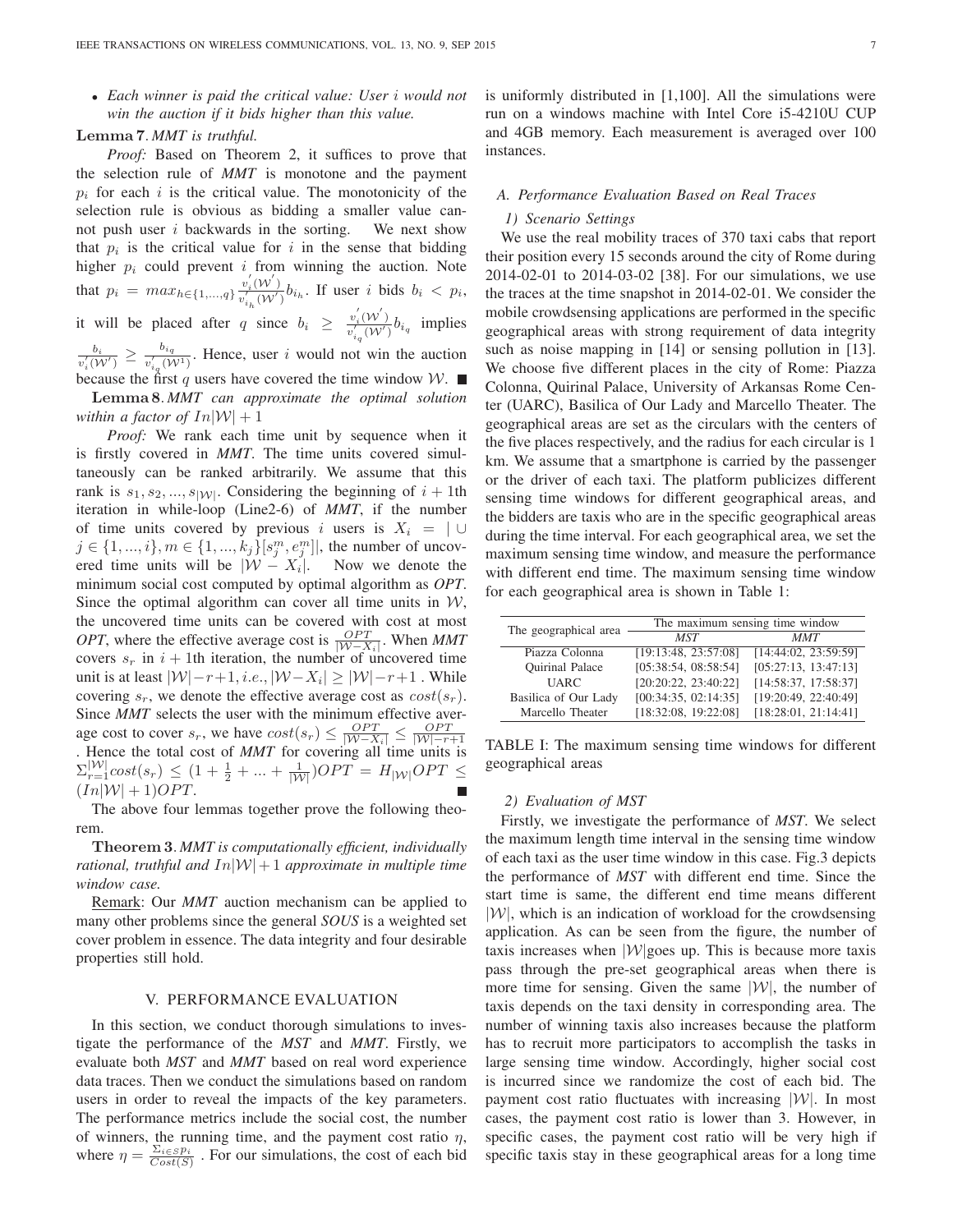• *Each winner is paid the critical value: User* i *would not win the auction if it bids higher than this value.*

# **Lemma 7**. *MMT is truthful.*

*Proof:* Based on Theorem 2, it suffices to prove that the selection rule of *MMT* is monotone and the payment  $p_i$  for each i is the critical value. The monotonicity of the selection rule is obvious as bidding a smaller value cannot push user i backwards in the sorting. We next show<br>that  $v_i$  is the critical value for i in the sense that hidding that  $p_i$  is the critical value for i in the sense that bidding<br>higher  $p_i$  could prevent i from winning the auction. Note higher  $p_i$  could prevent i from winning the auction. Note that  $p_i = max_{h \in \{1, ..., q\}} \frac{v_i'(\mathcal{W}')}{v_{i_h}'(\mathcal{W}')}$  $\frac{v_i(VV)}{v'_{i_h}(W')} b_{i_h}$ . If user *i* bids  $b_i < p_i$ , it will be placed after q since  $b_i \ge \frac{v_i'(W')}{v_{i_q}'(W')}$  $\frac{v_i(VV)}{v'_{i_q}(W')} b_{i_q}$  implies  $\frac{b_i}{v_i'(W')}\geq \frac{b_{i_q}}{v_{i_q}'(W^1)}$ . Hence, user i would not win the auction because the first q users have covered the time window  $W$ .

**Lemma 8**. *MMT can approximate the optimal solution within a factor of*  $In|\mathcal{W}|+1$ 

*Proof:* We rank each time unit by sequence when it is firstly covered in *MMT*. The time units covered simultaneously can be ranked arbitrarily. We assume that this rank is  $s_1, s_2, ..., s_{|\mathcal{W}|}$ . Considering the beginning of  $i + 1$ th iteration in while-loop (Line2-6) of *MMT*, if the number of time units covered by previous i users is  $X_i = \cup$  $j \in \{1, ..., i\}, m \in \{1, ..., k_j\}[s_j^m, e_j^m]\}$ , the number of uncovered time units will be  $|W_i - Y_i|$ . Now we denote the ered time units will be  $|W - X_i|$ . Now we denote the minimum social cost computed by optimal algorithm as *OPT*. Since the optimal algorithm can cover all time units in  $W$ , the uncovered time units can be covered with cost at most *OPT*, where the effective average cost is  $\frac{OPT}{|W-X_i|}$ . When *MMT* covers  $s_r$  in  $i + 1$ th iteration, the number of uncovered time unit is at least  $|W| - r + 1$ , *i.e.*,  $|W - X_i| \ge |W| - r + 1$ . While covering  $s_r$ , we denote the effective average cost as  $cost(s_r)$ . Since *MMT* selects the user with the minimum effective average cost to cover  $s_r$ , we have  $cost(s_r) \leq \frac{OPT}{|W - X_i|} \leq \frac{OPT}{|W| - r + 1}$ . Hence the total cost of *MMT* for covering all time units is  $\Sigma_{r=1}^{|\mathcal{W}|} cost(s_r) \leq (1 + \frac{1}{2} + ... + \frac{1}{|\mathcal{W}|}) OPT = H_{|\mathcal{W}|} OPT \leq$  $(In|W| + 1)OPT.$ 

The above four lemmas together prove the following theorem.

**Theorem 3**. *MMT is computationally efficient, individually rational, truthful and*  $In|\mathcal{W}|+1$  *approximate in multiple time window case.*

Remark: Our *MMT* auction mechanism can be applied to many other problems since the general *SOUS* is a weighted set cover problem in essence. The data integrity and four desirable properties still hold.

# V. PERFORMANCE EVALUATION

In this section, we conduct thorough simulations to investigate the performance of the *MST* and *MMT*. Firstly, we evaluate both *MST* and *MMT* based on real word experience data traces. Then we conduct the simulations based on random users in order to reveal the impacts of the key parameters. The performance metrics include the social cost, the number of winners, the running time, and the payment cost ratio  $\eta$ ,<br>where  $n = \frac{\sum_{i \in SP_i}}{\sum_{i \in SP_i}}$  For our simulations, the cost of each bid where  $\eta = \frac{\sum_{i \in SP_i}}{Cost(S)}$ . For our simulations, the cost of each bid is uniformly distributed in [1,100]. All the simulations were run on a windows machine with Intel Core i5-4210U CUP and 4GB memory. Each measurement is averaged over 100 instances.

#### *A. Performance Evaluation Based on Real Traces*

#### *1) Scenario Settings*

We use the real mobility traces of 370 taxi cabs that report their position every 15 seconds around the city of Rome during 2014-02-01 to 2014-03-02 [38]. For our simulations, we use the traces at the time snapshot in 2014-02-01. We consider the mobile crowdsensing applications are performed in the specific geographical areas with strong requirement of data integrity such as noise mapping in [14] or sensing pollution in [13]. We choose five different places in the city of Rome: Piazza Colonna, Quirinal Palace, University of Arkansas Rome Center (UARC), Basilica of Our Lady and Marcello Theater. The geographical areas are set as the circulars with the centers of the five places respectively, and the radius for each circular is 1 km. We assume that a smartphone is carried by the passenger or the driver of each taxi. The platform publicizes different sensing time windows for different geographical areas, and the bidders are taxis who are in the specific geographical areas during the time interval. For each geographical area, we set the maximum sensing time window, and measure the performance with different end time. The maximum sensing time window for each geographical area is shown in Table 1:

| The geographical area  | The maximum sensing time window |                      |
|------------------------|---------------------------------|----------------------|
|                        | MST                             | <b>MMT</b>           |
| Piazza Colonna         | [19:13:48, 23:57:08]            | [14:44:02, 23:59:59] |
| <b>Ouirinal Palace</b> | [05:38:54, 08:58:54]            | [05:27:13, 13:47:13] |
| <b>UARC</b>            | [20:20:22, 23:40:22]            | [14:58:37, 17:58:37] |
| Basilica of Our Lady   | [00:34:35, 02:14:35]            | [19:20:49, 22:40:49] |
| Marcello Theater       | [18:32:08, 19:22:08]            | [18:28:01, 21:14:41] |

TABLE I: The maximum sensing time windows for different geographical areas

#### *2) Evaluation of MST*

Firstly, we investigate the performance of *MST*. We select the maximum length time interval in the sensing time window of each taxi as the user time window in this case. Fig.3 depicts the performance of *MST* with different end time. Since the start time is same, the different end time means different  $|W|$ , which is an indication of workload for the crowdsensing application. As can be seen from the figure, the number of taxis increases when  $|W|$ goes up. This is because more taxis pass through the pre-set geographical areas when there is more time for sensing. Given the same  $|\mathcal{W}|$ , the number of taxis depends on the taxi density in corresponding area. The number of winning taxis also increases because the platform has to recruit more participators to accomplish the tasks in large sensing time window. Accordingly, higher social cost is incurred since we randomize the cost of each bid. The payment cost ratio fluctuates with increasing  $|W|$ . In most cases, the payment cost ratio is lower than 3. However, in specific cases, the payment cost ratio will be very high if specific taxis stay in these geographical areas for a long time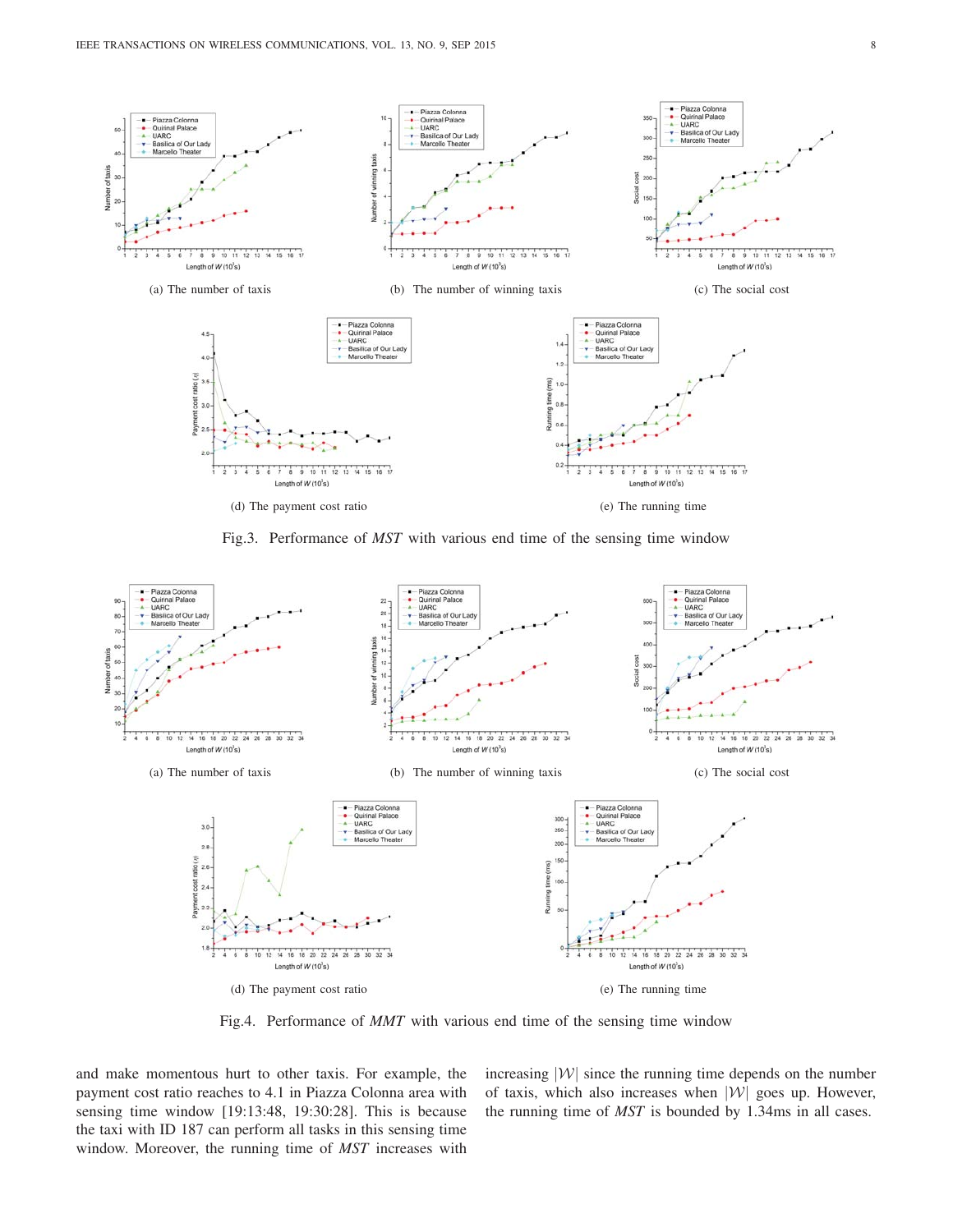

Fig.3. Performance of *MST* with various end time of the sensing time window



Fig.4. Performance of *MMT* with various end time of the sensing time window

and make momentous hurt to other taxis. For example, the payment cost ratio reaches to 4.1 in Piazza Colonna area with sensing time window [19:13:48, 19:30:28]. This is because the taxi with ID 187 can perform all tasks in this sensing time window. Moreover, the running time of *MST* increases with increasing  $|W|$  since the running time depends on the number of taxis, which also increases when  $|W|$  goes up. However, the running time of *MST* is bounded by 1.34ms in all cases.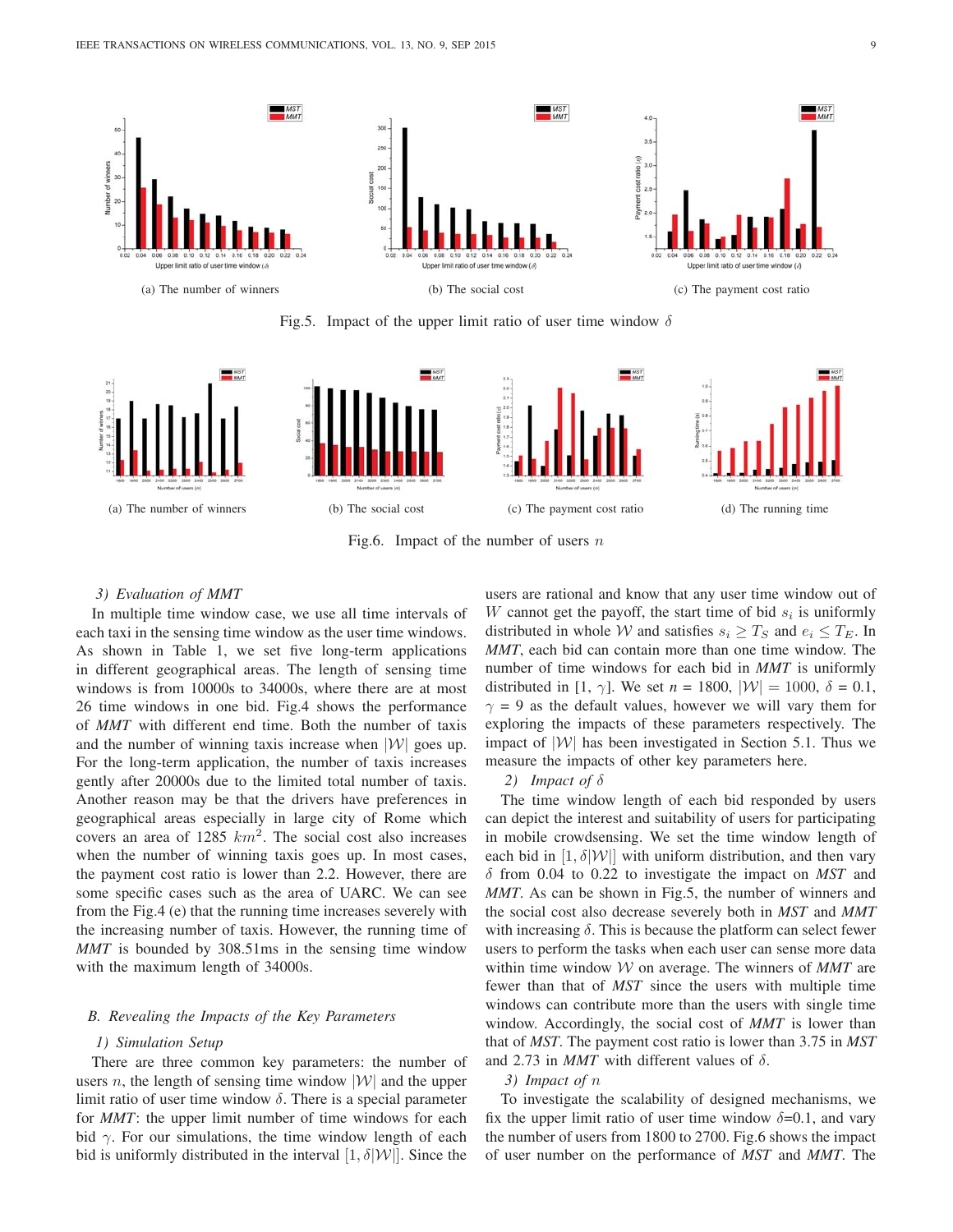

Fig.5. Impact of the upper limit ratio of user time window  $\delta$ 



Fig.6. Impact of the number of users  $n$ 

#### *3) Evaluation of MMT*

In multiple time window case, we use all time intervals of each taxi in the sensing time window as the user time windows. As shown in Table 1, we set five long-term applications in different geographical areas. The length of sensing time windows is from 10000s to 34000s, where there are at most 26 time windows in one bid. Fig.4 shows the performance of *MMT* with different end time. Both the number of taxis and the number of winning taxis increase when  $|\mathcal{W}|$  goes up. For the long-term application, the number of taxis increases gently after 20000s due to the limited total number of taxis. Another reason may be that the drivers have preferences in geographical areas especially in large city of Rome which covers an area of 1285  $km^2$ . The social cost also increases when the number of winning taxis goes up. In most cases, the payment cost ratio is lower than 2.2. However, there are some specific cases such as the area of UARC. We can see from the Fig.4 (e) that the running time increases severely with the increasing number of taxis. However, the running time of *MMT* is bounded by 308.51ms in the sensing time window with the maximum length of 34000s.

# *B. Revealing the Impacts of the Key Parameters*

#### *1) Simulation Setup*

There are three common key parameters: the number of users *n*, the length of sensing time window  $|W|$  and the upper limit ratio of user time window  $\delta$ . There is a special parameter for *MMT*: the upper limit number of time windows for each bid  $\gamma$ . For our simulations, the time window length of each bid is uniformly distributed in the interval  $[1, \delta |W|]$ . Since the users are rational and know that any user time window out of W cannot get the payoff, the start time of bid  $s_i$  is uniformly distributed in whole W and satisfies  $s_i \geq T_S$  and  $e_i \leq T_E$ . In *MMT*, each bid can contain more than one time window. The number of time windows for each bid in *MMT* is uniformly distributed in [1,  $\gamma$ ]. We set *n* = 1800,  $|W|$  = 1000,  $\delta$  = 0.1,  $\gamma = 9$  as the default values, however we will vary them for exploring the impacts of these parameters respectively. The impact of  $|W|$  has been investigated in Section 5.1. Thus we measure the impacts of other key parameters here.

#### *2) Impact of* δ

The time window length of each bid responded by users can depict the interest and suitability of users for participating in mobile crowdsensing. We set the time window length of each bid in  $[1, \delta |W|]$  with uniform distribution, and then vary δ from 0.04 to 0.22 to investigate the impact on *MST* and *MMT*. As can be shown in Fig.5, the number of winners and the social cost also decrease severely both in *MST* and *MMT* with increasing  $\delta$ . This is because the platform can select fewer users to perform the tasks when each user can sense more data within time window W on average. The winners of *MMT* are fewer than that of *MST* since the users with multiple time windows can contribute more than the users with single time window. Accordingly, the social cost of *MMT* is lower than that of *MST*. The payment cost ratio is lower than 3.75 in *MST* and 2.73 in *MMT* with different values of  $\delta$ .

#### *3) Impact of* n

To investigate the scalability of designed mechanisms, we fix the upper limit ratio of user time window  $\delta$ =0.1, and vary the number of users from 1800 to 2700. Fig.6 shows the impact of user number on the performance of *MST* and *MMT*. The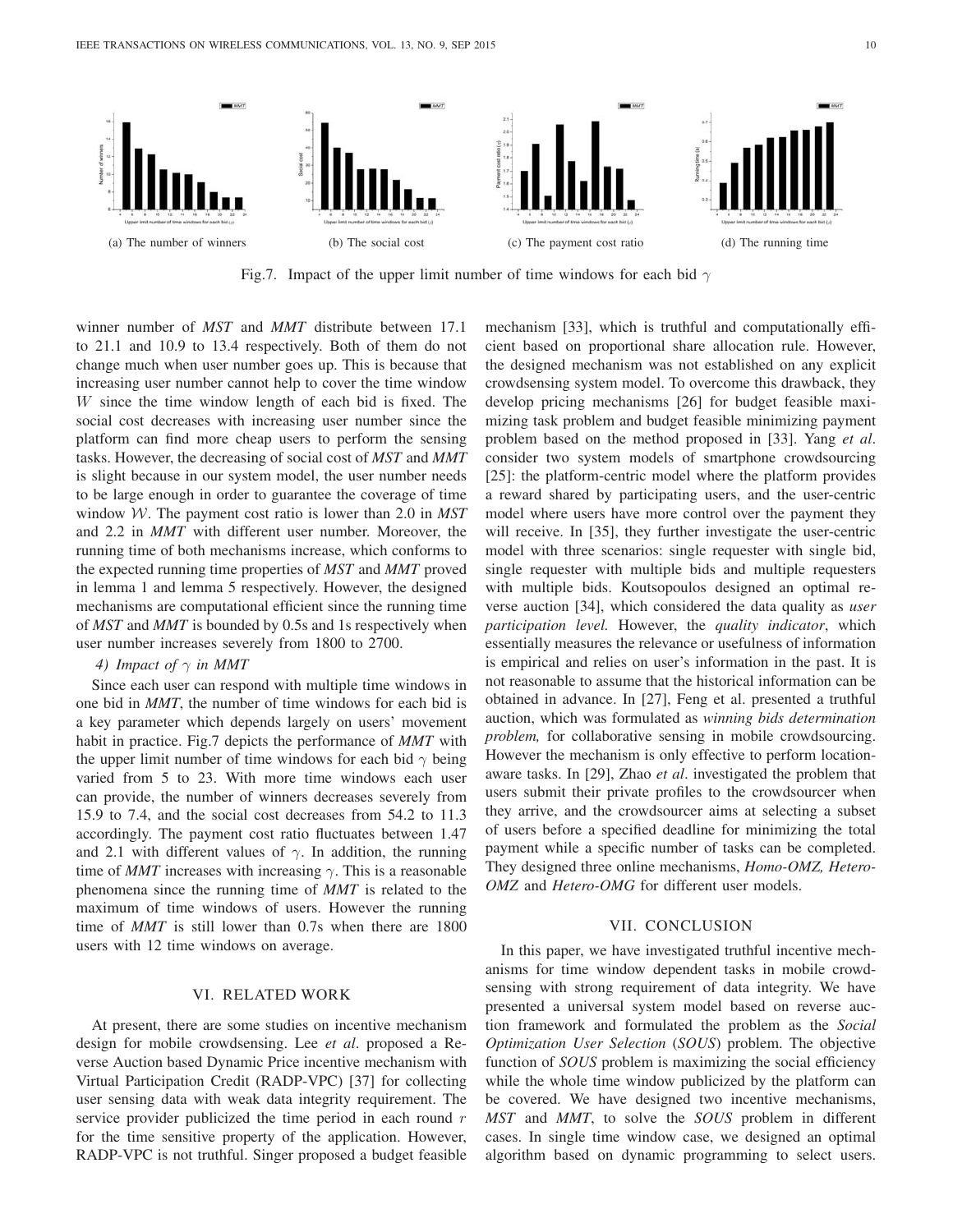

Fig.7. Impact of the upper limit number of time windows for each bid  $\gamma$ 

winner number of *MST* and *MMT* distribute between 17.1 to 21.1 and 10.9 to 13.4 respectively. Both of them do not change much when user number goes up. This is because that increasing user number cannot help to cover the time window W since the time window length of each bid is fixed. The social cost decreases with increasing user number since the platform can find more cheap users to perform the sensing tasks. However, the decreasing of social cost of *MST* and *MMT* is slight because in our system model, the user number needs to be large enough in order to guarantee the coverage of time window W. The payment cost ratio is lower than 2.0 in *MST* and 2.2 in *MMT* with different user number. Moreover, the running time of both mechanisms increase, which conforms to the expected running time properties of *MST* and *MMT* proved in lemma 1 and lemma 5 respectively. However, the designed mechanisms are computational efficient since the running time of *MST* and *MMT* is bounded by 0.5s and 1s respectively when user number increases severely from 1800 to 2700.

# *4) Impact of*  $\gamma$  *in MMT*

Since each user can respond with multiple time windows in one bid in *MMT*, the number of time windows for each bid is a key parameter which depends largely on users' movement habit in practice. Fig.7 depicts the performance of *MMT* with the upper limit number of time windows for each bid  $\gamma$  being varied from 5 to 23. With more time windows each user can provide, the number of winners decreases severely from 15.9 to 7.4, and the social cost decreases from 54.2 to 11.3 accordingly. The payment cost ratio fluctuates between 1.47 and 2.1 with different values of  $\gamma$ . In addition, the running time of *MMT* increases with increasing  $\gamma$ . This is a reasonable phenomena since the running time of *MMT* is related to the maximum of time windows of users. However the running time of *MMT* is still lower than 0.7s when there are 1800 users with 12 time windows on average.

### VI. RELATED WORK

At present, there are some studies on incentive mechanism design for mobile crowdsensing. Lee *et al*. proposed a Reverse Auction based Dynamic Price incentive mechanism with Virtual Participation Credit (RADP-VPC) [37] for collecting user sensing data with weak data integrity requirement. The service provider publicized the time period in each round  $r$ for the time sensitive property of the application. However, RADP-VPC is not truthful. Singer proposed a budget feasible mechanism [33], which is truthful and computationally efficient based on proportional share allocation rule. However, the designed mechanism was not established on any explicit crowdsensing system model. To overcome this drawback, they develop pricing mechanisms [26] for budget feasible maximizing task problem and budget feasible minimizing payment problem based on the method proposed in [33]. Yang *et al*. consider two system models of smartphone crowdsourcing [25]: the platform-centric model where the platform provides a reward shared by participating users, and the user-centric model where users have more control over the payment they will receive. In [35], they further investigate the user-centric model with three scenarios: single requester with single bid, single requester with multiple bids and multiple requesters with multiple bids. Koutsopoulos designed an optimal reverse auction [34], which considered the data quality as *user participation level.* However, the *quality indicator*, which essentially measures the relevance or usefulness of information is empirical and relies on user's information in the past. It is not reasonable to assume that the historical information can be obtained in advance. In [27], Feng et al. presented a truthful auction, which was formulated as *winning bids determination problem,* for collaborative sensing in mobile crowdsourcing. However the mechanism is only effective to perform locationaware tasks. In [29], Zhao *et al*. investigated the problem that users submit their private profiles to the crowdsourcer when they arrive, and the crowdsourcer aims at selecting a subset of users before a specified deadline for minimizing the total payment while a specific number of tasks can be completed. They designed three online mechanisms, *Homo-OMZ, Hetero-OMZ* and *Hetero-OMG* for different user models.

#### VII. CONCLUSION

In this paper, we have investigated truthful incentive mechanisms for time window dependent tasks in mobile crowdsensing with strong requirement of data integrity. We have presented a universal system model based on reverse auction framework and formulated the problem as the *Social Optimization User Selection* (*SOUS*) problem. The objective function of *SOUS* problem is maximizing the social efficiency while the whole time window publicized by the platform can be covered. We have designed two incentive mechanisms, *MST* and *MMT*, to solve the *SOUS* problem in different cases. In single time window case, we designed an optimal algorithm based on dynamic programming to select users.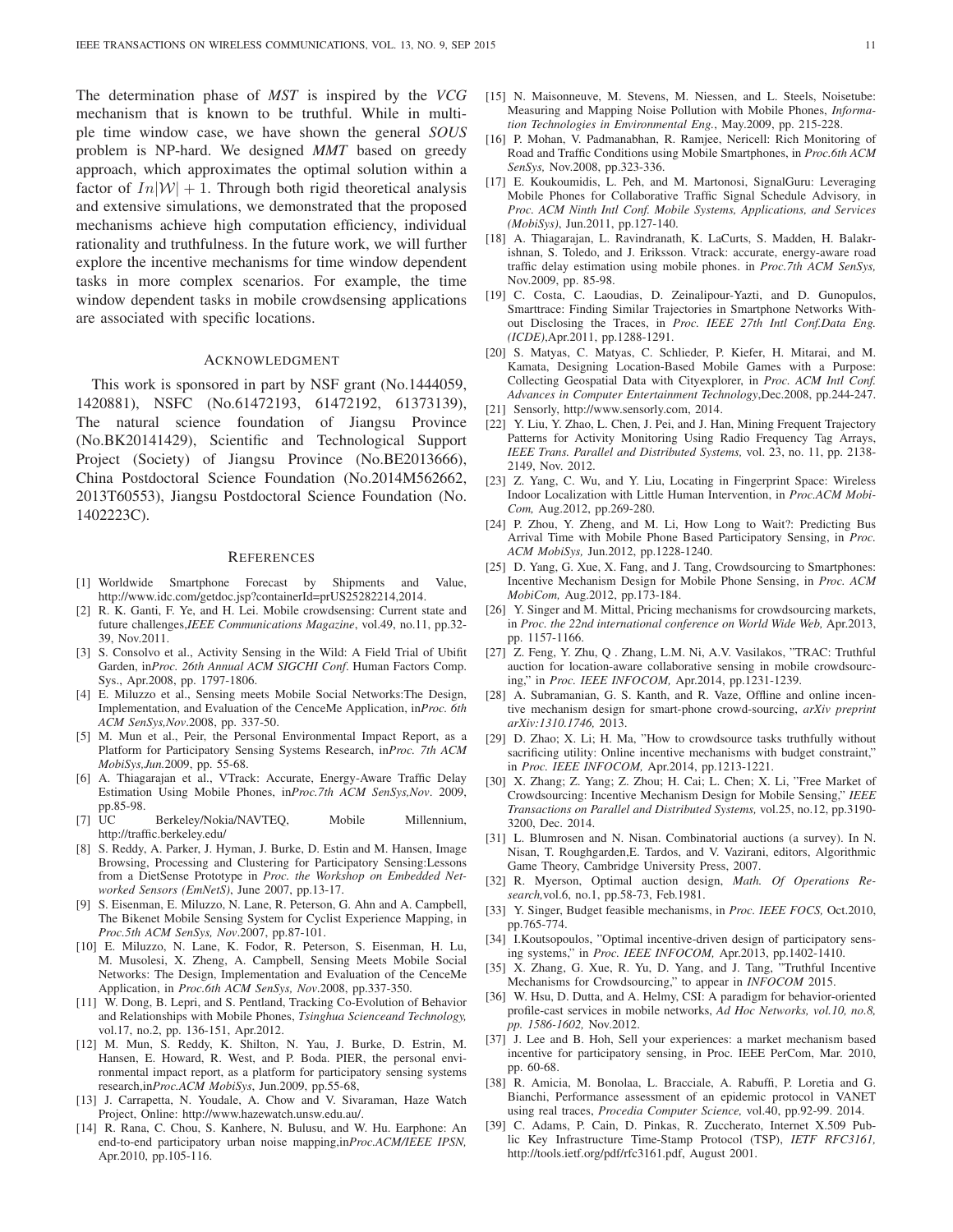The determination phase of *MST* is inspired by the *VCG* mechanism that is known to be truthful. While in multiple time window case, we have shown the general *SOUS* problem is NP-hard. We designed *MMT* based on greedy approach, which approximates the optimal solution within a factor of  $In|\mathcal{W}| + 1$ . Through both rigid theoretical analysis and extensive simulations, we demonstrated that the proposed mechanisms achieve high computation efficiency, individual rationality and truthfulness. In the future work, we will further explore the incentive mechanisms for time window dependent tasks in more complex scenarios. For example, the time window dependent tasks in mobile crowdsensing applications are associated with specific locations.

#### ACKNOWLEDGMENT

This work is sponsored in part by NSF grant (No.1444059, 1420881), NSFC (No.61472193, 61472192, 61373139), The natural science foundation of Jiangsu Province (No.BK20141429), Scientific and Technological Support Project (Society) of Jiangsu Province (No.BE2013666), China Postdoctoral Science Foundation (No.2014M562662, 2013T60553), Jiangsu Postdoctoral Science Foundation (No. 1402223C).

#### **REFERENCES**

- [1] Worldwide Smartphone Forecast by Shipments and Value, http://www.idc.com/getdoc.jsp?containerId=prUS25282214,2014.
- [2] R. K. Ganti, F. Ye, and H. Lei. Mobile crowdsensing: Current state and future challenges,*IEEE Communications Magazine*, vol.49, no.11, pp.32- 39, Nov.2011.
- [3] S. Consolvo et al., Activity Sensing in the Wild: A Field Trial of Ubifit Garden, in*Proc. 26th Annual ACM SIGCHI Conf*. Human Factors Comp. Sys., Apr.2008, pp. 1797-1806.
- [4] E. Miluzzo et al., Sensing meets Mobile Social Networks:The Design, Implementation, and Evaluation of the CenceMe Application, in*Proc. 6th ACM SenSys,Nov*.2008, pp. 337-50.
- [5] M. Mun et al., Peir, the Personal Environmental Impact Report, as a Platform for Participatory Sensing Systems Research, in*Proc. 7th ACM MobiSys,Jun.*2009, pp. 55-68.
- [6] A. Thiagarajan et al., VTrack: Accurate, Energy-Aware Traffic Delay Estimation Using Mobile Phones, in*Proc.7th ACM SenSys,Nov*. 2009, pp.85-98.
- [7] UC Berkeley/Nokia/NAVTEQ, Mobile Millennium, http://traffic.berkeley.edu/
- [8] S. Reddy, A. Parker, J. Hyman, J. Burke, D. Estin and M. Hansen, Image Browsing, Processing and Clustering for Participatory Sensing:Lessons from a DietSense Prototype in *Proc. the Workshop on Embedded Networked Sensors (EmNetS)*, June 2007, pp.13-17.
- [9] S. Eisenman, E. Miluzzo, N. Lane, R. Peterson, G. Ahn and A. Campbell, The Bikenet Mobile Sensing System for Cyclist Experience Mapping, in *Proc.5th ACM SenSys, Nov*.2007, pp.87-101.
- [10] E. Miluzzo, N. Lane, K. Fodor, R. Peterson, S. Eisenman, H. Lu, M. Musolesi, X. Zheng, A. Campbell, Sensing Meets Mobile Social Networks: The Design, Implementation and Evaluation of the CenceMe Application, in *Proc.6th ACM SenSys, Nov*.2008, pp.337-350.
- [11] W. Dong, B. Lepri, and S. Pentland, Tracking Co-Evolution of Behavior and Relationships with Mobile Phones, *Tsinghua Scienceand Technology,* vol.17, no.2, pp. 136-151, Apr.2012.
- [12] M. Mun, S. Reddy, K. Shilton, N. Yau, J. Burke, D. Estrin, M. Hansen, E. Howard, R. West, and P. Boda. PIER, the personal environmental impact report, as a platform for participatory sensing systems research,in*Proc.ACM MobiSys*, Jun.2009, pp.55-68,
- [13] J. Carrapetta, N. Youdale, A. Chow and V. Sivaraman, Haze Watch Project, Online: http://www.hazewatch.unsw.edu.au/.
- [14] R. Rana, C. Chou, S. Kanhere, N. Bulusu, and W. Hu. Earphone: An end-to-end participatory urban noise mapping,in*Proc.ACM/IEEE IPSN,* Apr.2010, pp.105-116.
- [15] N. Maisonneuve, M. Stevens, M. Niessen, and L. Steels, Noisetube: Measuring and Mapping Noise Pollution with Mobile Phones, *Information Technologies in Environmental Eng.*, May.2009, pp. 215-228.
- [16] P. Mohan, V. Padmanabhan, R. Ramjee, Nericell: Rich Monitoring of Road and Traffic Conditions using Mobile Smartphones, in *Proc.6th ACM SenSys,* Nov.2008, pp.323-336.
- [17] E. Koukoumidis, L. Peh, and M. Martonosi, SignalGuru: Leveraging Mobile Phones for Collaborative Traffic Signal Schedule Advisory, in *Proc. ACM Ninth Intl Conf. Mobile Systems, Applications, and Services (MobiSys)*, Jun.2011, pp.127-140.
- [18] A. Thiagarajan, L. Ravindranath, K. LaCurts, S. Madden, H. Balakrishnan, S. Toledo, and J. Eriksson. Vtrack: accurate, energy-aware road traffic delay estimation using mobile phones. in *Proc.7th ACM SenSys,* Nov.2009, pp. 85-98.
- [19] C. Costa, C. Laoudias, D. Zeinalipour-Yazti, and D. Gunopulos, Smarttrace: Finding Similar Trajectories in Smartphone Networks Without Disclosing the Traces, in *Proc. IEEE 27th Intl Conf.Data Eng. (ICDE)*,Apr.2011, pp.1288-1291.
- [20] S. Matyas, C. Matyas, C. Schlieder, P. Kiefer, H. Mitarai, and M. Kamata, Designing Location-Based Mobile Games with a Purpose: Collecting Geospatial Data with Cityexplorer, in *Proc. ACM Intl Conf. Advances in Computer Entertainment Technology*,Dec.2008, pp.244-247.
- [21] Sensorly, http://www.sensorly.com, 2014.
- [22] Y. Liu, Y. Zhao, L. Chen, J. Pei, and J. Han, Mining Frequent Trajectory Patterns for Activity Monitoring Using Radio Frequency Tag Arrays, *IEEE Trans. Parallel and Distributed Systems,* vol. 23, no. 11, pp. 2138- 2149, Nov. 2012.
- [23] Z. Yang, C. Wu, and Y. Liu, Locating in Fingerprint Space: Wireless Indoor Localization with Little Human Intervention, in *Proc.ACM Mobi-Com,* Aug.2012, pp.269-280.
- [24] P. Zhou, Y. Zheng, and M. Li, How Long to Wait?: Predicting Bus Arrival Time with Mobile Phone Based Participatory Sensing, in *Proc. ACM MobiSys,* Jun.2012, pp.1228-1240.
- [25] D. Yang, G. Xue, X. Fang, and J. Tang, Crowdsourcing to Smartphones: Incentive Mechanism Design for Mobile Phone Sensing, in *Proc. ACM MobiCom,* Aug.2012, pp.173-184.
- [26] Y. Singer and M. Mittal, Pricing mechanisms for crowdsourcing markets, in *Proc. the 22nd international conference on World Wide Web,* Apr.2013, pp. 1157-1166.
- [27] Z. Feng, Y. Zhu, Q. Zhang, L.M. Ni, A.V. Vasilakos, "TRAC: Truthful auction for location-aware collaborative sensing in mobile crowdsourcing," in *Proc. IEEE INFOCOM,* Apr.2014, pp.1231-1239.
- [28] A. Subramanian, G. S. Kanth, and R. Vaze, Offline and online incentive mechanism design for smart-phone crowd-sourcing, *arXiv preprint arXiv:1310.1746,* 2013.
- [29] D. Zhao; X. Li; H. Ma, "How to crowdsource tasks truthfully without sacrificing utility: Online incentive mechanisms with budget constraint," in *Proc. IEEE INFOCOM,* Apr.2014, pp.1213-1221.
- [30] X. Zhang; Z. Yang; Z. Zhou; H. Cai; L. Chen; X. Li, "Free Market of Crowdsourcing: Incentive Mechanism Design for Mobile Sensing," *IEEE Transactions on Parallel and Distributed Systems,* vol.25, no.12, pp.3190- 3200, Dec. 2014.
- [31] L. Blumrosen and N. Nisan. Combinatorial auctions (a survey). In N. Nisan, T. Roughgarden,E. Tardos, and V. Vazirani, editors, Algorithmic Game Theory, Cambridge University Press, 2007.
- [32] R. Myerson, Optimal auction design, *Math. Of Operations Research,*vol.6, no.1, pp.58-73, Feb.1981.
- [33] Y. Singer, Budget feasible mechanisms, in *Proc. IEEE FOCS,* Oct.2010, pp.765-774.
- [34] I.Koutsopoulos, "Optimal incentive-driven design of participatory sensing systems," in *Proc. IEEE INFOCOM,* Apr.2013, pp.1402-1410.
- [35] X. Zhang, G. Xue, R. Yu, D. Yang, and J. Tang, "Truthful Incentive Mechanisms for Crowdsourcing," to appear in *INFOCOM* 2015.
- [36] W. Hsu, D. Dutta, and A. Helmy, CSI: A paradigm for behavior-oriented profile-cast services in mobile networks, *Ad Hoc Networks, vol.10, no.8, pp. 1586-1602,* Nov.2012.
- [37] J. Lee and B. Hoh, Sell your experiences: a market mechanism based incentive for participatory sensing, in Proc. IEEE PerCom, Mar. 2010, pp. 60-68.
- [38] R. Amicia, M. Bonolaa, L. Bracciale, A. Rabuffi, P. Loretia and G. Bianchi, Performance assessment of an epidemic protocol in VANET using real traces, *Procedia Computer Science,* vol.40, pp.92-99. 2014.
- [39] C. Adams, P. Cain, D. Pinkas, R. Zuccherato, Internet X.509 Public Key Infrastructure Time-Stamp Protocol (TSP), *IETF RFC3161,* http://tools.ietf.org/pdf/rfc3161.pdf, August 2001.